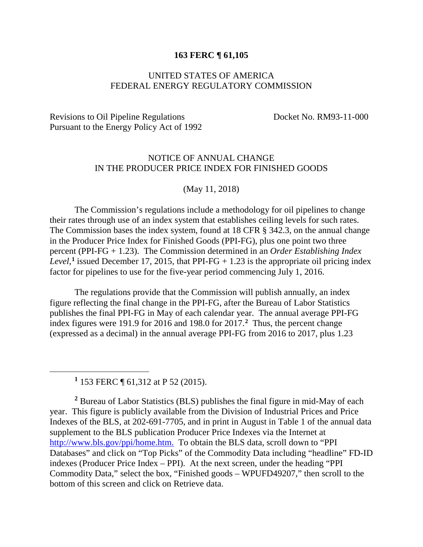## **163 FERC ¶ 61,105**

## UNITED STATES OF AMERICA FEDERAL ENERGY REGULATORY COMMISSION

## Revisions to Oil Pipeline Regulations Docket No. RM93-11-000 Pursuant to the Energy Policy Act of 1992

## NOTICE OF ANNUAL CHANGE IN THE PRODUCER PRICE INDEX FOR FINISHED GOODS

(May 11, 2018)

The Commission's regulations include a methodology for oil pipelines to change their rates through use of an index system that establishes ceiling levels for such rates. The Commission bases the index system, found at 18 CFR § 342.3, on the annual change in the Producer Price Index for Finished Goods (PPI-FG), plus one point two three percent (PPI-FG + 1.23). The Commission determined in an *Order Establishing Index*  Level,<sup>[1](#page-0-0)</sup> issued December 17, 2015, that PPI-FG  $+$  1.23 is the appropriate oil pricing index factor for pipelines to use for the five-year period commencing July 1, 2016.

The regulations provide that the Commission will publish annually, an index figure reflecting the final change in the PPI-FG, after the Bureau of Labor Statistics publishes the final PPI-FG in May of each calendar year. The annual average PPI-FG index figures were 191.9 for 2016 and 198.0 for 2017. **[2](#page-0-1)** Thus, the percent change (expressed as a decimal) in the annual average PPI-FG from 2016 to 2017, plus 1.23

**<sup>1</sup>** 153 FERC ¶ 61,312 at P 52 (2015).

<span id="page-0-0"></span> $\overline{a}$ 

<span id="page-0-1"></span>**<sup>2</sup>** Bureau of Labor Statistics (BLS) publishes the final figure in mid-May of each year. This figure is publicly available from the Division of Industrial Prices and Price Indexes of the BLS, at 202-691-7705, and in print in August in Table 1 of the annual data supplement to the BLS publication Producer Price Indexes via the Internet at [http://www.bls.gov/ppi/home.htm.](http://www.bls.gov/ppi/home.htm) To obtain the BLS data, scroll down to "PPI Databases" and click on "Top Picks" of the Commodity Data including "headline" FD-ID indexes (Producer Price Index – PPI). At the next screen, under the heading "PPI Commodity Data," select the box, "Finished goods – WPUFD49207," then scroll to the bottom of this screen and click on Retrieve data.